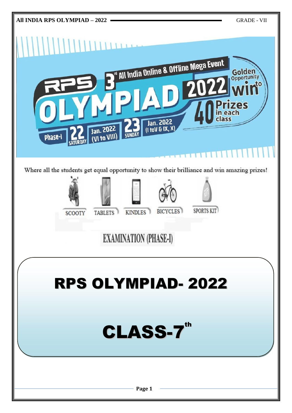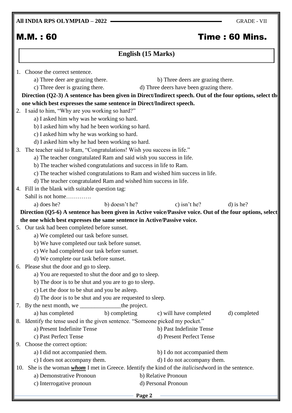**All INDIA RPS OLYMPIAD – 2022** GRADE - VII

# M.M. : 60 Time : 60 Mins.

| English (15 Marks)                                                                                                    |                                                           |  |  |  |
|-----------------------------------------------------------------------------------------------------------------------|-----------------------------------------------------------|--|--|--|
| Choose the correct sentence.                                                                                          |                                                           |  |  |  |
| a) Three deer are grazing there.                                                                                      | b) Three deers are grazing there.                         |  |  |  |
| c) Three deer is grazing there.                                                                                       | d) Three deers have been grazing there.                   |  |  |  |
| Direction (Q2-3) A sentence has been given in Direct/Indirect speech. Out of the four options, select the             |                                                           |  |  |  |
| one which best expresses the same sentence in Direct/Indirect speech.                                                 |                                                           |  |  |  |
| 2. I said to him, "Why are you working so hard?"                                                                      |                                                           |  |  |  |
| a) I asked him why was he working so hard.                                                                            |                                                           |  |  |  |
| b) I asked him why had he been working so hard.                                                                       |                                                           |  |  |  |
| c) I asked him why he was working so hard.                                                                            |                                                           |  |  |  |
| d) I asked him why he had been working so hard.                                                                       |                                                           |  |  |  |
| The teacher said to Ram, "Congratulations! Wish you success in life."<br>3.                                           |                                                           |  |  |  |
| a) The teacher congratulated Ram and said wish you success in life.                                                   |                                                           |  |  |  |
| b) The teacher wished congratulations and success in life to Ram.                                                     |                                                           |  |  |  |
| c) The teacher wished congratulations to Ram and wished him success in life.                                          |                                                           |  |  |  |
| d) The teacher congratulated Ram and wished him success in life.                                                      |                                                           |  |  |  |
| Fill in the blank with suitable question tag:                                                                         |                                                           |  |  |  |
| Sahil is not home                                                                                                     |                                                           |  |  |  |
| a) does he?<br>b) doesn't he?                                                                                         | c) isn't he?<br>$d)$ is he?                               |  |  |  |
| Direction (Q5-6) A sentence has been given in Active voice/Passive voice. Out of the four options, select             |                                                           |  |  |  |
| the one which best expresses the same sentence in Active/Passive voice.                                               |                                                           |  |  |  |
| 5. Our task had been completed before sunset.                                                                         |                                                           |  |  |  |
| a) We completed our task before sunset.                                                                               |                                                           |  |  |  |
| b) We have completed our task before sunset.                                                                          |                                                           |  |  |  |
| c) We had completed our task before sunset.                                                                           |                                                           |  |  |  |
| d) We complete our task before sunset.                                                                                |                                                           |  |  |  |
| 6. Please shut the door and go to sleep.                                                                              |                                                           |  |  |  |
| a) You are requested to shut the door and go to sleep.                                                                |                                                           |  |  |  |
| b) The door is to be shut and you are to go to sleep.                                                                 |                                                           |  |  |  |
| c) Let the door to be shut and you be asleep.                                                                         |                                                           |  |  |  |
|                                                                                                                       | d) The door is to be shut and you are requested to sleep. |  |  |  |
| By the next month, we _______________________the project.                                                             |                                                           |  |  |  |
| b) completing<br>a) has completed                                                                                     | c) will have completed<br>d) completed                    |  |  |  |
| Identify the tense used in the given sentence. "Someone picked my pocket."<br>8.                                      |                                                           |  |  |  |
| a) Present Indefinite Tense                                                                                           | b) Past Indefinite Tense                                  |  |  |  |
| c) Past Perfect Tense                                                                                                 | d) Present Perfect Tense                                  |  |  |  |
| Choose the correct option:                                                                                            |                                                           |  |  |  |
| a) I did not accompanied them.                                                                                        | b) I do not accompanied them                              |  |  |  |
| c) I does not accompany them.<br>d) I do not accompany them.                                                          |                                                           |  |  |  |
| She is the woman <i>whom</i> I met in Greece. Identify the kind of the <i>italicised</i> word in the sentence.<br>10. |                                                           |  |  |  |
| a) Demonstrative Pronoun                                                                                              | b) Relative Pronoun                                       |  |  |  |
| c) Interrogative pronoun                                                                                              | d) Personal Pronoun                                       |  |  |  |

**Page 2**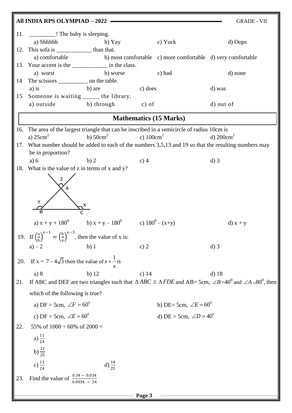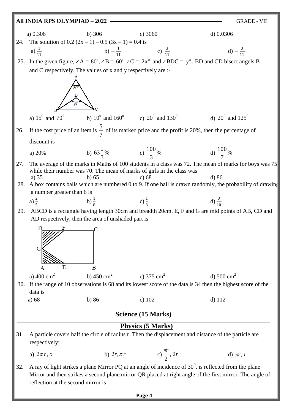### **All INDIA RPS OLYMPIAD – 2022** GRADE - VII

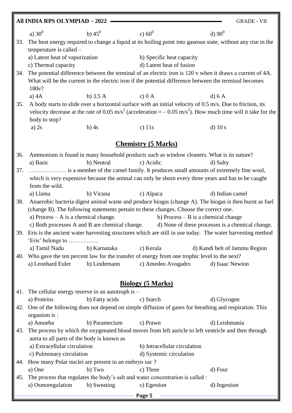|     | All INDIA RPS OLYMPIAD - 2022<br><b>GRADE - VII</b>                                                             |                |                              |                                                                                                                                        |
|-----|-----------------------------------------------------------------------------------------------------------------|----------------|------------------------------|----------------------------------------------------------------------------------------------------------------------------------------|
|     | a) $30^0$                                                                                                       | b) $45^0$      | c) $60^0$                    | d) $90^0$                                                                                                                              |
| 33. |                                                                                                                 |                |                              | The heat energy required to change a liquid at its boiling point into gaseous state, without any rise in the                           |
|     | temperature is called -                                                                                         |                |                              |                                                                                                                                        |
|     | a) Latent heat of vaporization                                                                                  |                | b) Specific heat capacity    |                                                                                                                                        |
|     | c) Thermal capacity                                                                                             |                | d) Latent heat of fusion     |                                                                                                                                        |
| 34. |                                                                                                                 |                |                              | The potential difference between the terminal of an electric iron is 120 v when it draws a current of 4A.                              |
|     |                                                                                                                 |                |                              | What will be the current in the electric iron if the potential difference between the terminal becomes                                 |
|     | 180v?                                                                                                           |                |                              |                                                                                                                                        |
|     | a) $4A$                                                                                                         | b) $3.5A$      | c) 0 A                       | d) 6A                                                                                                                                  |
| 35. |                                                                                                                 |                |                              | A body starts to slide over a horizontal surface with an initial velocity of 0.5 m/s. Due to friction, its                             |
|     | body to stop?                                                                                                   |                |                              | velocity decrease at the rate of 0.05 m/s <sup>2</sup> (acceleration = $-$ 0.05 m/s <sup>2</sup> ). How much time will it take for the |
|     | a) $2s$                                                                                                         | $b)$ 4s        | c) $11s$                     | $d)$ 10 s                                                                                                                              |
|     |                                                                                                                 |                |                              |                                                                                                                                        |
|     |                                                                                                                 |                | <b>Chemistry (5 Marks)</b>   |                                                                                                                                        |
| 36. |                                                                                                                 |                |                              | Ammonium is found in many household products such as window cleaners. What is its nature?                                              |
|     | a) Basic                                                                                                        | b) Neutral     | c) Acidic                    | d) Salty                                                                                                                               |
| 37. |                                                                                                                 |                |                              | is a member of the camel family. It produces small amounts of extremely fine wool,                                                     |
|     |                                                                                                                 |                |                              | which is very expensive because the animal can only be shorn every three years and has to be caught                                    |
|     | from the wild.                                                                                                  |                |                              |                                                                                                                                        |
|     | a) Llama                                                                                                        | b) Vicuna      | c) Alpaca                    | d) Indian camel                                                                                                                        |
| 38. |                                                                                                                 |                |                              | Anaerobic bacteria digest animal waste and produce biogas (change A). The biogas is then burnt as fuel                                 |
|     | a) Process $- A$ is a chemical change.                                                                          |                |                              | (change B). The following statements pertain to these changes. Choose the correct one.<br>b) Process $- B$ is a chemical change        |
|     | c) Both processes A and B are chemical change.                                                                  |                |                              | d) None of these processes is a chemical change.                                                                                       |
|     |                                                                                                                 |                |                              | 39. Eris is the ancient water harvesting structures which are still in use today. The water harvesting method                          |
|     | 'Eris' belongs to                                                                                               |                |                              |                                                                                                                                        |
|     | a) Tamil Nadu                                                                                                   | b) Karnataka   | c) Kerala                    | d) Kandi belt of Jammu Region                                                                                                          |
| 40. |                                                                                                                 |                |                              | Who gave the ten percent law for the transfer of energy from one trophic level to the next?                                            |
|     | a) Leonhard Euler                                                                                               | b) Lindemann   | c) Amedeo Avogadro           | d) Isaac Newton                                                                                                                        |
|     |                                                                                                                 |                |                              |                                                                                                                                        |
|     |                                                                                                                 |                | <b>Biology (5 Marks)</b>     |                                                                                                                                        |
|     | 41. The cellular energy reserve in an autotroph is $-$                                                          |                |                              |                                                                                                                                        |
|     | a) Proteins                                                                                                     | b) Fatty acids | c) Starch                    | d) Glycogen                                                                                                                            |
| 42. |                                                                                                                 |                |                              | One of the following does not depend on simple diffusion of gases for breathing and respiration. This                                  |
|     | organism is :                                                                                                   |                |                              |                                                                                                                                        |
|     | a) Amoeba                                                                                                       | b) Paramecium  | c) Prawn                     | d) Leishmania                                                                                                                          |
| 43. |                                                                                                                 |                |                              | The process by which the oxygenated blood moves from left auricle to left ventricle and then through                                   |
|     | aorta to all parts of the body is known as                                                                      |                |                              |                                                                                                                                        |
|     | a) Extracellular circulation                                                                                    |                | b) Intracellular circulation |                                                                                                                                        |
|     | c) Pulmonary circulation<br>d) Systemic circulation<br>44. How many Polar nuclei are present in an embryo sac ? |                |                              |                                                                                                                                        |
|     | a) One                                                                                                          | b) Two         | c) Three                     | d) Four                                                                                                                                |
| 45. | The process that regulates the body's salt and water concentration is called :                                  |                |                              |                                                                                                                                        |
|     | a) Osmoregulation                                                                                               | b) Sweating    | c) Egestion                  | d) Ingestion                                                                                                                           |
|     |                                                                                                                 |                | Page 5                       |                                                                                                                                        |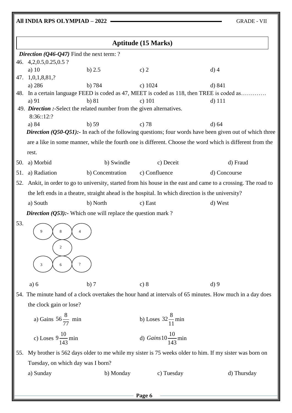## **All INDIA RPS OLYMPIAD – 2022 — GRADE - VII**

| <b>Aptitude (15 Marks)</b>                  |                                                                                                             |                  |                                 |                                                                                                                       |
|---------------------------------------------|-------------------------------------------------------------------------------------------------------------|------------------|---------------------------------|-----------------------------------------------------------------------------------------------------------------------|
| Direction $(Q46-Q47)$ Find the next term: ? |                                                                                                             |                  |                                 |                                                                                                                       |
|                                             | 46. 4, 2, 0. 5, 0. 25, 0. 5 ?                                                                               |                  |                                 |                                                                                                                       |
|                                             | a) $10$                                                                                                     | b) $2.5$         | c) $2$                          | $d)$ 4                                                                                                                |
| 47.                                         | 1,0,1,8,81,?                                                                                                |                  |                                 |                                                                                                                       |
|                                             | a) 286                                                                                                      | b) 784           | c) $1024$                       | d) 841                                                                                                                |
|                                             |                                                                                                             |                  |                                 | 48. In a certain language FEED is coded as 47, MEET is coded as 118, then TREE is coded as                            |
|                                             | a) $91$<br>49. Direction :-Select the related number from the given alternatives.                           | b) 81            | $c)$ 101                        | $d)$ 111                                                                                                              |
|                                             | 8:36::12:?                                                                                                  |                  |                                 |                                                                                                                       |
|                                             | a) 84                                                                                                       | $b)$ 59          | c) $78$                         | $d$ ) 64                                                                                                              |
|                                             |                                                                                                             |                  |                                 | <i>Direction</i> ( $Q$ 50- $Q$ 51): In each of the following questions; four words have been given out of which three |
|                                             |                                                                                                             |                  |                                 | are a like in some manner, while the fourth one is different. Choose the word which is different from the             |
|                                             | rest.                                                                                                       |                  |                                 |                                                                                                                       |
| 50.                                         | a) Morbid                                                                                                   | b) Swindle       | c) Deceit                       | d) Fraud                                                                                                              |
|                                             |                                                                                                             |                  | c) Confluence                   |                                                                                                                       |
| 51.                                         | a) Radiation                                                                                                | b) Concentration |                                 | d) Concourse                                                                                                          |
| 52.                                         | Ankit, in order to go to university, started from his house in the east and came to a crossing. The road to |                  |                                 |                                                                                                                       |
|                                             | the left ends in a theatre, straight ahead is the hospital. In which direction is the university?           |                  |                                 |                                                                                                                       |
|                                             | a) South                                                                                                    | b) North         | c) East                         | d) West                                                                                                               |
|                                             | <i>Direction</i> ( $Q$ 53): Which one will replace the question mark?                                       |                  |                                 |                                                                                                                       |
| 53.                                         | 9<br>8<br>$\overline{c}$<br>6                                                                               |                  |                                 |                                                                                                                       |
|                                             | a) 6                                                                                                        | b)7              | c) 8                            | d)9                                                                                                                   |
|                                             |                                                                                                             |                  |                                 | 54. The minute hand of a clock overtakes the hour hand at intervals of 65 minutes. How much in a day does             |
|                                             | the clock gain or lose?                                                                                     |                  |                                 |                                                                                                                       |
|                                             | a) Gains $56\frac{8}{77}$ min                                                                               |                  | b) Loses $32\frac{8}{11}$ min   |                                                                                                                       |
|                                             | c) Loses $9\frac{10}{143}$ min                                                                              |                  | d) Gains $10\frac{10}{143}$ min |                                                                                                                       |
| 55.                                         |                                                                                                             |                  |                                 | My brother is 562 days older to me while my sister is 75 weeks older to him. If my sister was born on                 |
|                                             | Tuesday, on which day was I born?                                                                           |                  |                                 |                                                                                                                       |
|                                             | a) Sunday                                                                                                   | b) Monday        | c) Tuesday                      | d) Thursday                                                                                                           |